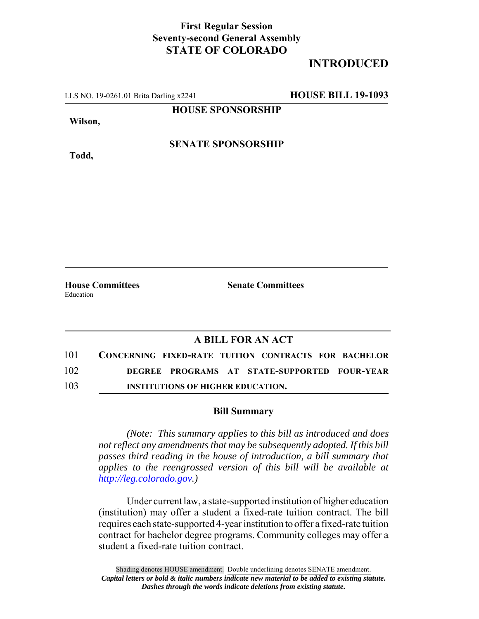## **First Regular Session Seventy-second General Assembly STATE OF COLORADO**

## **INTRODUCED**

LLS NO. 19-0261.01 Brita Darling x2241 **HOUSE BILL 19-1093**

**HOUSE SPONSORSHIP**

**Wilson,**

**Todd,**

**SENATE SPONSORSHIP**

Education

**House Committees Senate Committees** 

## **A BILL FOR AN ACT**

| 101 | CONCERNING FIXED-RATE TUITION CONTRACTS FOR BACHELOR |
|-----|------------------------------------------------------|
| 102 | DEGREE PROGRAMS AT STATE-SUPPORTED FOUR-YEAR         |
| 103 | <b>INSTITUTIONS OF HIGHER EDUCATION.</b>             |

## **Bill Summary**

*(Note: This summary applies to this bill as introduced and does not reflect any amendments that may be subsequently adopted. If this bill passes third reading in the house of introduction, a bill summary that applies to the reengrossed version of this bill will be available at http://leg.colorado.gov.)*

Under current law, a state-supported institution of higher education (institution) may offer a student a fixed-rate tuition contract. The bill requires each state-supported 4-year institution to offer a fixed-rate tuition contract for bachelor degree programs. Community colleges may offer a student a fixed-rate tuition contract.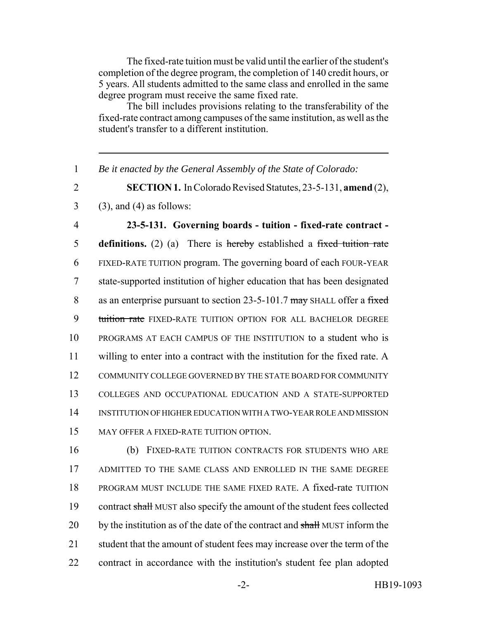The fixed-rate tuition must be valid until the earlier of the student's completion of the degree program, the completion of 140 credit hours, or 5 years. All students admitted to the same class and enrolled in the same degree program must receive the same fixed rate.

The bill includes provisions relating to the transferability of the fixed-rate contract among campuses of the same institution, as well as the student's transfer to a different institution.

1 *Be it enacted by the General Assembly of the State of Colorado:*

2 **SECTION 1.** In Colorado Revised Statutes, 23-5-131, **amend** (2),

 $3$  (3), and (4) as follows:

 **23-5-131. Governing boards - tuition - fixed-rate contract - definitions.** (2) (a) There is hereby established a fixed tuition rate FIXED-RATE TUITION program. The governing board of each FOUR-YEAR state-supported institution of higher education that has been designated 8 as an enterprise pursuant to section 23-5-101.7 may SHALL offer a fixed 9 tuition rate FIXED-RATE TUITION OPTION FOR ALL BACHELOR DEGREE PROGRAMS AT EACH CAMPUS OF THE INSTITUTION to a student who is willing to enter into a contract with the institution for the fixed rate. A COMMUNITY COLLEGE GOVERNED BY THE STATE BOARD FOR COMMUNITY COLLEGES AND OCCUPATIONAL EDUCATION AND A STATE-SUPPORTED INSTITUTION OF HIGHER EDUCATION WITH A TWO-YEAR ROLE AND MISSION MAY OFFER A FIXED-RATE TUITION OPTION.

 (b) FIXED-RATE TUITION CONTRACTS FOR STUDENTS WHO ARE ADMITTED TO THE SAME CLASS AND ENROLLED IN THE SAME DEGREE PROGRAM MUST INCLUDE THE SAME FIXED RATE. A fixed-rate TUITION 19 contract shall MUST also specify the amount of the student fees collected 20 by the institution as of the date of the contract and shall MUST inform the student that the amount of student fees may increase over the term of the contract in accordance with the institution's student fee plan adopted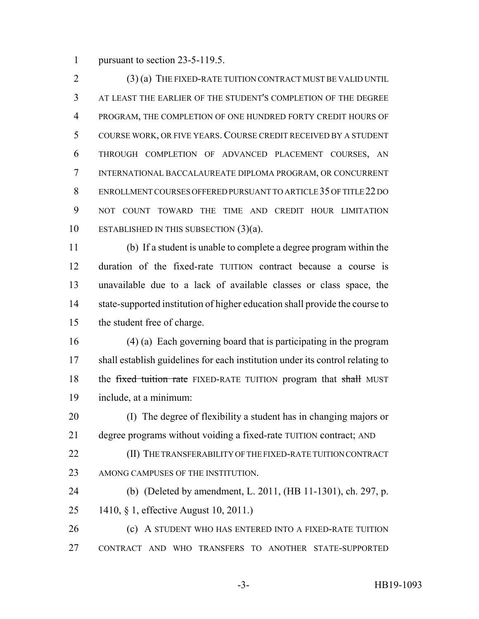pursuant to section 23-5-119.5.

 (3) (a) THE FIXED-RATE TUITION CONTRACT MUST BE VALID UNTIL AT LEAST THE EARLIER OF THE STUDENT'S COMPLETION OF THE DEGREE PROGRAM, THE COMPLETION OF ONE HUNDRED FORTY CREDIT HOURS OF COURSE WORK, OR FIVE YEARS. COURSE CREDIT RECEIVED BY A STUDENT THROUGH COMPLETION OF ADVANCED PLACEMENT COURSES, AN INTERNATIONAL BACCALAUREATE DIPLOMA PROGRAM, OR CONCURRENT ENROLLMENT COURSES OFFERED PURSUANT TO ARTICLE 35 OF TITLE 22 DO NOT COUNT TOWARD THE TIME AND CREDIT HOUR LIMITATION ESTABLISHED IN THIS SUBSECTION (3)(a).

 (b) If a student is unable to complete a degree program within the duration of the fixed-rate TUITION contract because a course is unavailable due to a lack of available classes or class space, the state-supported institution of higher education shall provide the course to the student free of charge.

 (4) (a) Each governing board that is participating in the program shall establish guidelines for each institution under its control relating to 18 the fixed tuition rate FIXED-RATE TUITION program that shall MUST include, at a minimum:

 (I) The degree of flexibility a student has in changing majors or degree programs without voiding a fixed-rate TUITION contract; AND

- (II) THE TRANSFERABILITY OF THE FIXED-RATE TUITION CONTRACT 23 AMONG CAMPUSES OF THE INSTITUTION.
- (b) (Deleted by amendment, L. 2011, (HB 11-1301), ch. 297, p. 1410, § 1, effective August 10, 2011.)

**(c)** A STUDENT WHO HAS ENTERED INTO A FIXED-RATE TUITION CONTRACT AND WHO TRANSFERS TO ANOTHER STATE-SUPPORTED